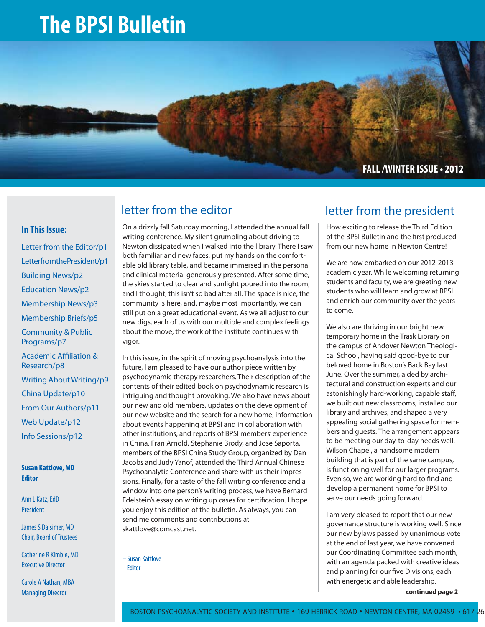# **The BPSI Bulletin**



### **In This Issue:**

Letter from the Editor/p1 Letterfrom the President/p1 Building News/p2 Education News/p2 Membership News/p3 Membership Briefs/p5 Community & Public Programs/p7 Academic Affiliation & Research/p8 Writing About Writing/p9 China Update/p10 From Our Authors/p11 Web Update/p12 Info Sessions/p12

**Susan Kattlove, MD Editor**

Ann L Katz, EdD President

James S Dalsimer, MD Chair, Board of Trustees

Catherine R Kimble, MD Executive Director

Carole A Nathan, MBA Managing Director

On a drizzly fall Saturday morning, I attended the annual fall writing conference. My silent grumbling about driving to Newton dissipated when I walked into the library. There I saw both familiar and new faces, put my hands on the comfortable old library table, and became immersed in the personal and clinical material generously presented. After some time, the skies started to clear and sunlight poured into the room, and I thought, this isn't so bad after all. The space is nice, the community is here, and, maybe most importantly, we can still put on a great educational event. As we all adjust to our new digs, each of us with our multiple and complex feelings about the move, the work of the institute continues with vigor.

In this issue, in the spirit of moving psychoanalysis into the future, I am pleased to have our author piece written by psychodynamic therapy researchers. Their description of the contents of their edited book on psychodynamic research is intriguing and thought provoking. We also have news about our new and old members, updates on the development of our new website and the search for a new home, information about events happening at BPSI and in collaboration with other institutions, and reports of BPSI members' experience in China. Fran Arnold, Stephanie Brody, and Jose Saporta, members of the BPSI China Study Group, organized by Dan Jacobs and Judy Yanof, attended the Third Annual Chinese Psychoanalytic Conference and share with us their impressions. Finally, for a taste of the fall writing conference and a window into one person's writing process, we have Bernard Edelstein's essay on writing up cases for certification. I hope you enjoy this edition of the bulletin. As always, you can send me comments and contributions at skattlove@comcast.net.

– Susan Kattlove **Editor** 

### letter from the editor and letter from the president

How exciting to release the Third Edition of the BPSI Bulletin and the first produced from our new home in Newton Centre!

We are now embarked on our 2012-2013 academic year. While welcoming returning students and faculty, we are greeting new students who will learn and grow at BPSI and enrich our community over the years to come.

We also are thriving in our bright new temporary home in the Trask Library on the campus of Andover Newton Theological School, having said good-bye to our beloved home in Boston's Back Bay last June. Over the summer, aided by architectural and construction experts and our astonishingly hard-working, capable staff, we built out new classrooms, installed our library and archives, and shaped a very appealing social gathering space for members and guests. The arrangement appears to be meeting our day-to-day needs well. Wilson Chapel, a handsome modern building that is part of the same campus, is functioning well for our larger programs. Even so, we are working hard to find and develop a permanent home for BPSI to serve our needs going forward.

I am very pleased to report that our new governance structure is working well. Since our new bylaws passed by unanimous vote at the end of last year, we have convened our Coordinating Committee each month, with an agenda packed with creative ideas and planning for our five Divisions, each with energetic and able leadership.

**continued page 2**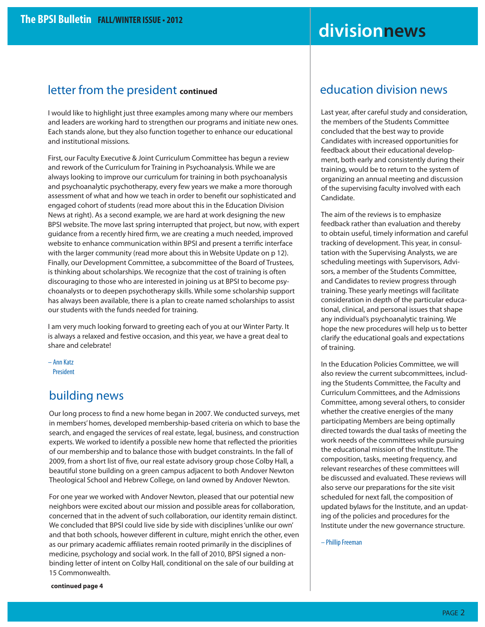# **divisionnews**

### letter from the president **continued**

I would like to highlight just three examples among many where our members and leaders are working hard to strengthen our programs and initiate new ones. Each stands alone, but they also function together to enhance our educational and institutional missions.

First, our Faculty Executive & Joint Curriculum Committee has begun a review and rework of the Curriculum for Training in Psychoanalysis. While we are always looking to improve our curriculum for training in both psychoanalysis and psychoanalytic psychotherapy, every few years we make a more thorough assessment of what and how we teach in order to benefit our sophisticated and engaged cohort of students (read more about this in the Education Division News at right). As a second example, we are hard at work designing the new BPSI website. The move last spring interrupted that project, but now, with expert guidance from a recently hired firm, we are creating a much needed, improved website to enhance communication within BPSI and present a terrific interface with the larger community (read more about this in Website Update on p 12). Finally, our Development Committee, a subcommittee of the Board of Trustees, is thinking about scholarships. We recognize that the cost of training is often discouraging to those who are interested in joining us at BPSI to become psychoanalysts or to deepen psychotherapy skills. While some scholarship support has always been available, there is a plan to create named scholarships to assist our students with the funds needed for training.

I am very much looking forward to greeting each of you at our Winter Party. It is always a relaxed and festive occasion, and this year, we have a great deal to share and celebrate!

– Ann Katz President

### building news

Our long process to find a new home began in 2007. We conducted surveys, met in members' homes, developed membership-based criteria on which to base the search, and engaged the services of real estate, legal, business, and construction experts. We worked to identify a possible new home that reflected the priorities of our membership and to balance those with budget constraints. In the fall of 2009, from a short list of five, our real estate advisory group chose Colby Hall, a beautiful stone building on a green campus adjacent to both Andover Newton Theological School and Hebrew College, on land owned by Andover Newton.

For one year we worked with Andover Newton, pleased that our potential new neighbors were excited about our mission and possible areas for collaboration, concerned that in the advent of such collaboration, our identity remain distinct. We concluded that BPSI could live side by side with disciplines 'unlike our own' and that both schools, however different in culture, might enrich the other, even as our primary academic affiliates remain rooted primarily in the disciplines of medicine, psychology and social work. In the fall of 2010, BPSI signed a nonbinding letter of intent on Colby Hall, conditional on the sale of our building at 15 Commonwealth.

### education division news

Last year, after careful study and consideration, the members of the Students Committee concluded that the best way to provide Candidates with increased opportunities for feedback about their educational development, both early and consistently during their training, would be to return to the system of organizing an annual meeting and discussion of the supervising faculty involved with each Candidate.

The aim of the reviews is to emphasize feedback rather than evaluation and thereby to obtain useful, timely information and careful tracking of development. This year, in consultation with the Supervising Analysts, we are scheduling meetings with Supervisors, Advisors, a member of the Students Committee, and Candidates to review progress through training. These yearly meetings will facilitate consideration in depth of the particular educational, clinical, and personal issues that shape any individual's psychoanalytic training. We hope the new procedures will help us to better clarify the educational goals and expectations of training.

In the Education Policies Committee, we will also review the current subcommittees, including the Students Committee, the Faculty and Curriculum Committees, and the Admissions Committee, among several others, to consider whether the creative energies of the many participating Members are being optimally directed towards the dual tasks of meeting the work needs of the committees while pursuing the educational mission of the Institute. The composition, tasks, meeting frequency, and relevant researches of these committees will be discussed and evaluated. These reviews will also serve our preparations for the site visit scheduled for next fall, the composition of updated bylaws for the Institute, and an updating of the policies and procedures for the Institute under the new governance structure.

– Phillip Freeman

**continued page 4**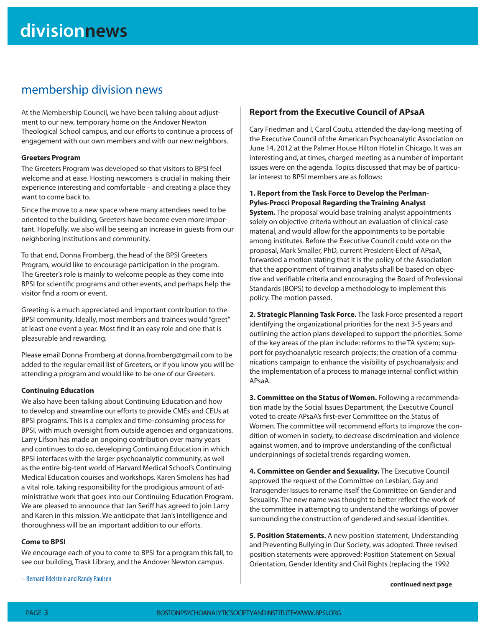### membership division news

At the Membership Council, we have been talking about adjustment to our new, temporary home on the Andover Newton Theological School campus, and our efforts to continue a process of engagement with our own members and with our new neighbors.

#### **Greeters Program**

The Greeters Program was developed so that visitors to BPSI feel welcome and at ease. Hosting newcomers is crucial in making their experience interesting and comfortable – and creating a place they want to come back to.

Since the move to a new space where many attendees need to be oriented to the building, Greeters have become even more important. Hopefully, we also will be seeing an increase in guests from our neighboring institutions and community.

To that end, Donna Fromberg, the head of the BPSI Greeters Program, would like to encourage participation in the program. The Greeter's role is mainly to welcome people as they come into BPSI for scientific programs and other events, and perhaps help the visitor find a room or event.

Greeting is a much appreciated and important contribution to the BPSI community. Ideally, most members and trainees would "greet" at least one event a year. Most find it an easy role and one that is pleasurable and rewarding.

Please email Donna Fromberg at donna.fromberg@gmail.com to be added to the regular email list of Greeters, or if you know you will be attending a program and would like to be one of our Greeters.

#### **Continuing Education**

We also have been talking about Continuing Education and how to develop and streamline our efforts to provide CMEs and CEUs at BPSI programs. This is a complex and time-consuming process for BPSI, with much oversight from outside agencies and organizations. Larry Lifson has made an ongoing contribution over many years and continues to do so, developing Continuing Education in which BPSI interfaces with the larger psychoanalytic community, as well as the entire big-tent world of Harvard Medical School's Continuing Medical Education courses and workshops. Karen Smolens has had a vital role, taking responsibility for the prodigious amount of administrative work that goes into our Continuing Education Program. We are pleased to announce that Jan Seriff has agreed to join Larry and Karen in this mission. We anticipate that Jan's intelligence and thoroughness will be an important addition to our efforts.

#### **Come to BPSI**

We encourage each of you to come to BPSI for a program this fall, to see our building, Trask Library, and the Andover Newton campus.

### **Report from the Executive Council of APsaA**

Cary Friedman and I, Carol Coutu, attended the day-long meeting of the Executive Council of the American Psychoanalytic Association on June 14, 2012 at the Palmer House Hilton Hotel in Chicago. It was an interesting and, at times, charged meeting as a number of important issues were on the agenda. Topics discussed that may be of particular interest to BPSI members are as follows:

#### **1. Report from the Task Force to Develop the Perlman-Pyles-Procci Proposal Regarding the Training Analyst**

**System.** The proposal would base training analyst appointments solely on objective criteria without an evaluation of clinical case material, and would allow for the appointments to be portable among institutes. Before the Executive Council could vote on the proposal, Mark Smaller, PhD, current President-Elect of APsaA, forwarded a motion stating that it is the policy of the Association that the appointment of training analysts shall be based on objective and verifiable criteria and encouraging the Board of Professional Standards (BOPS) to develop a methodology to implement this policy. The motion passed.

**2. Strategic Planning Task Force.** The Task Force presented a report identifying the organizational priorities for the next 3-5 years and outlining the action plans developed to support the priorities. Some of the key areas of the plan include: reforms to the TA system; support for psychoanalytic research projects; the creation of a communications campaign to enhance the visibility of psychoanalysis; and the implementation of a process to manage internal conflict within APsaA.

**3. Committee on the Status of Women.** Following a recommendation made by the Social Issues Department, the Executive Council voted to create APsaA's first-ever Committee on the Status of Women. The committee will recommend efforts to improve the condition of women in society, to decrease discrimination and violence against women, and to improve understanding of the conflictual underpinnings of societal trends regarding women.

**4. Committee on Gender and Sexuality.** The Executive Council approved the request of the Committee on Lesbian, Gay and Transgender Issues to rename itself the Committee on Gender and Sexuality. The new name was thought to better reflect the work of the committee in attempting to understand the workings of power surrounding the construction of gendered and sexual identities.

**5. Position Statements.** A new position statement, Understanding and Preventing Bullying in Our Society, was adopted. Three revised position statements were approved: Position Statement on Sexual Orientation, Gender Identity and Civil Rights (replacing the 1992

– Bernard Edelstein and Randy Paulsen

**continued next page**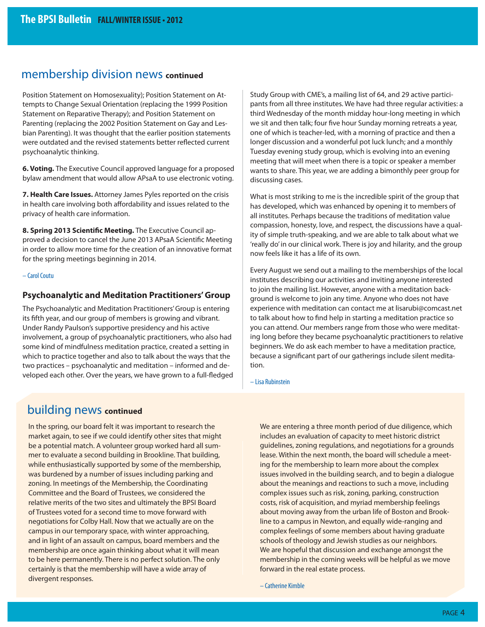### membership division news **continued**

Position Statement on Homosexuality); Position Statement on Attempts to Change Sexual Orientation (replacing the 1999 Position Statement on Reparative Therapy); and Position Statement on Parenting (replacing the 2002 Position Statement on Gay and Lesbian Parenting). It was thought that the earlier position statements were outdated and the revised statements better reflected current psychoanalytic thinking.

**6. Voting.** The Executive Council approved language for a proposed bylaw amendment that would allow APsaA to use electronic voting.

**7. Health Care Issues.** Attorney James Pyles reported on the crisis in health care involving both affordability and issues related to the privacy of health care information.

8. Spring 2013 Scientific Meeting. The Executive Council approved a decision to cancel the June 2013 APsaA Scientific Meeting in order to allow more time for the creation of an innovative format for the spring meetings beginning in 2014.

#### – Carol Coutu

#### **Psychoanalytic and Meditation Practitioners' Group**

The Psychoanalytic and Meditation Practitioners' Group is entering its fifth year, and our group of members is growing and vibrant. Under Randy Paulson's supportive presidency and his active involvement, a group of psychoanalytic practitioners, who also had some kind of mindfulness meditation practice, created a setting in which to practice together and also to talk about the ways that the two practices – psychoanalytic and meditation – informed and developed each other. Over the years, we have grown to a full-fledged Study Group with CME's, a mailing list of 64, and 29 active participants from all three institutes. We have had three regular activities: a third Wednesday of the month midday hour-long meeting in which we sit and then talk; four five hour Sunday morning retreats a year, one of which is teacher-led, with a morning of practice and then a longer discussion and a wonderful pot luck lunch; and a monthly Tuesday evening study group, which is evolving into an evening meeting that will meet when there is a topic or speaker a member wants to share. This year, we are adding a bimonthly peer group for discussing cases.

What is most striking to me is the incredible spirit of the group that has developed, which was enhanced by opening it to members of all institutes. Perhaps because the traditions of meditation value compassion, honesty, love, and respect, the discussions have a quality of simple truth-speaking, and we are able to talk about what we 'really do' in our clinical work. There is joy and hilarity, and the group now feels like it has a life of its own.

Every August we send out a mailing to the memberships of the local institutes describing our activities and inviting anyone interested to join the mailing list. However, anyone with a meditation background is welcome to join any time. Anyone who does not have experience with meditation can contact me at lisarubi@comcast.net to talk about how to find help in starting a meditation practice so you can attend. Our members range from those who were meditating long before they became psychoanalytic practitioners to relative beginners. We do ask each member to have a meditation practice, because a significant part of our gatherings include silent meditation.

– Lisa Rubinstein

### building news **continued**

In the spring, our board felt it was important to research the market again, to see if we could identify other sites that might be a potential match. A volunteer group worked hard all summer to evaluate a second building in Brookline. That building, while enthusiastically supported by some of the membership, was burdened by a number of issues including parking and zoning. In meetings of the Membership, the Coordinating Committee and the Board of Trustees, we considered the relative merits of the two sites and ultimately the BPSI Board of Trustees voted for a second time to move forward with negotiations for Colby Hall. Now that we actually are on the campus in our temporary space, with winter approaching, and in light of an assault on campus, board members and the membership are once again thinking about what it will mean to be here permanently. There is no perfect solution. The only certainly is that the membership will have a wide array of divergent responses.

We are entering a three month period of due diligence, which includes an evaluation of capacity to meet historic district guidelines, zoning regulations, and negotiations for a grounds lease. Within the next month, the board will schedule a meeting for the membership to learn more about the complex issues involved in the building search, and to begin a dialogue about the meanings and reactions to such a move, including complex issues such as risk, zoning, parking, construction costs, risk of acquisition, and myriad membership feelings about moving away from the urban life of Boston and Brookline to a campus in Newton, and equally wide-ranging and complex feelings of some members about having graduate schools of theology and Jewish studies as our neighbors. We are hopeful that discussion and exchange amongst the membership in the coming weeks will be helpful as we move forward in the real estate process.

– Catherine Kimble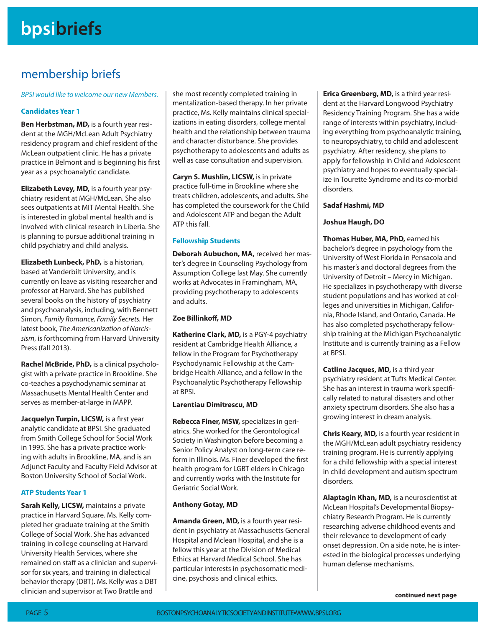## membership briefs

BPSI would like to welcome our new Members.

#### **Candidates Year 1**

**Ben Herbstman, MD,** is a fourth year resident at the MGH/McLean Adult Psychiatry residency program and chief resident of the McLean outpatient clinic. He has a private practice in Belmont and is beginning his first year as a psychoanalytic candidate.

**Elizabeth Levey, MD,** is a fourth year psychiatry resident at MGH/McLean. She also sees outpatients at MIT Mental Health. She is interested in global mental health and is involved with clinical research in Liberia. She is planning to pursue additional training in child psychiatry and child analysis.

**Elizabeth Lunbeck, PhD,** is a historian, based at Vanderbilt University, and is currently on leave as visiting researcher and professor at Harvard. She has published several books on the history of psychiatry and psychoanalysis, including, with Bennett Simon, Family Romance, Family Secrets. Her latest book, The Americanization of Narcissism, is forthcoming from Harvard University Press (fall 2013).

**Rachel McBride, PhD,** is a clinical psychologist with a private practice in Brookline. She co-teaches a psychodynamic seminar at Massachusetts Mental Health Center and serves as member-at-large in MAPP.

**Jacquelyn Turpin, LICSW, is a first year** analytic candidate at BPSI. She graduated from Smith College School for Social Work in 1995. She has a private practice working with adults in Brookline, MA, and is an Adjunct Faculty and Faculty Field Advisor at Boston University School of Social Work.

#### **ATP Students Year 1**

**Sarah Kelly, LICSW,** maintains a private practice in Harvard Square. Ms. Kelly completed her graduate training at the Smith College of Social Work. She has advanced training in college counseling at Harvard University Health Services, where she remained on staff as a clinician and supervisor for six years, and training in dialectical behavior therapy (DBT). Ms. Kelly was a DBT clinician and supervisor at Two Brattle and

she most recently completed training in mentalization-based therapy. In her private practice, Ms. Kelly maintains clinical specializations in eating disorders, college mental health and the relationship between trauma and character disturbance. She provides psychotherapy to adolescents and adults as well as case consultation and supervision.

**Caryn S. Mushlin, LICSW,** is in private practice full-time in Brookline where she treats children, adolescents, and adults. She has completed the coursework for the Child and Adolescent ATP and began the Adult ATP this fall.

#### **Fellowship Students**

**Deborah Aubuchon, MA,** received her master's degree in Counseling Psychology from Assumption College last May. She currently works at Advocates in Framingham, MA, providing psychotherapy to adolescents and adults.

#### **Zoe Billinkoff, MD**

**Katherine Clark, MD,** is a PGY-4 psychiatry resident at Cambridge Health Alliance, a fellow in the Program for Psychotherapy Psychodynamic Fellowship at the Cambridge Health Alliance, and a fellow in the Psychoanalytic Psychotherapy Fellowship at BPSI.

#### **Larentiau Dimitrescu, MD**

**Rebecca Finer, MSW,** specializes in geriatrics. She worked for the Gerontological Society in Washington before becoming a Senior Policy Analyst on long-term care reform in Illinois. Ms. Finer developed the first health program for LGBT elders in Chicago and currently works with the Institute for Geriatric Social Work.

#### **Anthony Gotay, MD**

**Amanda Green, MD,** is a fourth year resident in psychiatry at Massachusetts General Hospital and Mclean Hospital, and she is a fellow this year at the Division of Medical Ethics at Harvard Medical School. She has particular interests in psychosomatic medicine, psychosis and clinical ethics.

**Erica Greenberg, MD,** is a third year resident at the Harvard Longwood Psychiatry Residency Training Program. She has a wide range of interests within psychiatry, including everything from psychoanalytic training, to neuropsychiatry, to child and adolescent psychiatry. After residency, she plans to apply for fellowship in Child and Adolescent psychiatry and hopes to eventually specialize in Tourette Syndrome and its co-morbid disorders.

#### **Sadaf Hashmi, MD**

#### **Joshua Haugh, DO**

**Thomas Huber, MA, PhD,** earned his bachelor's degree in psychology from the University of West Florida in Pensacola and his master's and doctoral degrees from the University of Detroit – Mercy in Michigan. He specializes in psychotherapy with diverse student populations and has worked at colleges and universities in Michigan, California, Rhode Island, and Ontario, Canada. He has also completed psychotherapy fellowship training at the Michigan Psychoanalytic Institute and is currently training as a Fellow at BPSI.

**Catline Jacques, MD,** is a third year psychiatry resident at Tufts Medical Center. She has an interest in trauma work specifically related to natural disasters and other anxiety spectrum disorders. She also has a growing interest in dream analysis.

**Chris Keary, MD,** is a fourth year resident in the MGH/McLean adult psychiatry residency training program. He is currently applying for a child fellowship with a special interest in child development and autism spectrum disorders.

**Alaptagin Khan, MD,** is a neuroscientist at McLean Hospital's Developmental Biopsychiatry Research Program. He is currently researching adverse childhood events and their relevance to development of early onset depression. On a side note, he is interested in the biological processes underlying human defense mechanisms.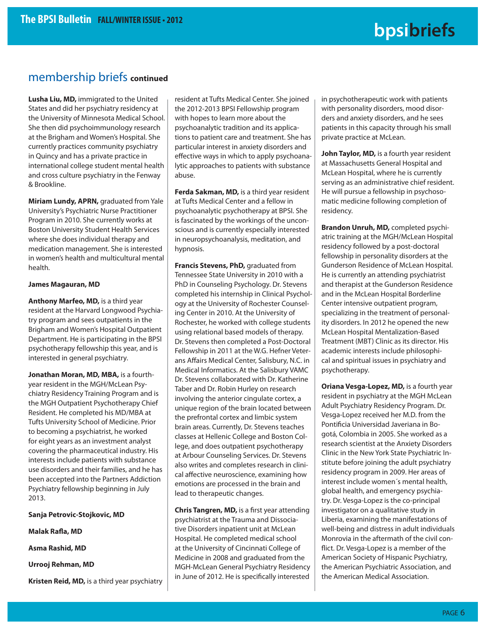### membership briefs **continued**

**Lusha Liu, MD,** immigrated to the United States and did her psychiatry residency at the University of Minnesota Medical School. She then did psychoimmunology research at the Brigham and Women's Hospital. She currently practices community psychiatry in Quincy and has a private practice in international college student mental health and cross culture psychiatry in the Fenway & Brookline.

**Miriam Lundy, APRN,** graduated from Yale University's Psychiatric Nurse Practitioner Program in 2010. She currently works at Boston University Student Health Services where she does individual therapy and medication management. She is interested in women's health and multicultural mental health.

#### **James Magauran, MD**

**Anthony Marfeo, MD,** is a third year resident at the Harvard Longwood Psychiatry program and sees outpatients in the Brigham and Women's Hospital Outpatient Department. He is participating in the BPSI psychotherapy fellowship this year, and is interested in general psychiatry.

**Jonathan Moran, MD, MBA,** is a fourthyear resident in the MGH/McLean Psychiatry Residency Training Program and is the MGH Outpatient Psychotherapy Chief Resident. He completed his MD/MBA at Tufts University School of Medicine. Prior to becoming a psychiatrist, he worked for eight years as an investment analyst covering the pharmaceutical industry. His interests include patients with substance use disorders and their families, and he has been accepted into the Partners Addiction Psychiatry fellowship beginning in July 2013.

**Sanja Petrovic-Stojkovic, MD**

**Malak Rafla, MD** 

**Asma Rashid, MD**

**Urrooj Rehman, MD**

**Kristen Reid, MD,** is a third year psychiatry

resident at Tufts Medical Center. She joined the 2012-2013 BPSI Fellowship program with hopes to learn more about the psychoanalytic tradition and its applications to patient care and treatment. She has particular interest in anxiety disorders and effective ways in which to apply psychoanalytic approaches to patients with substance abuse.

**Ferda Sakman, MD,** is a third year resident at Tufts Medical Center and a fellow in psychoanalytic psychotherapy at BPSI. She is fascinated by the workings of the unconscious and is currently especially interested in neuropsychoanalysis, meditation, and hypnosis.

**Francis Stevens, PhD,** graduated from Tennessee State University in 2010 with a PhD in Counseling Psychology. Dr. Stevens completed his internship in Clinical Psychology at the University of Rochester Counseling Center in 2010. At the University of Rochester, he worked with college students using relational based models of therapy. Dr. Stevens then completed a Post-Doctoral Fellowship in 2011 at the W.G. Hefner Veterans Affairs Medical Center, Salisbury, N.C. in Medical Informatics. At the Salisbury VAMC Dr. Stevens collaborated with Dr. Katherine Taber and Dr. Robin Hurley on research involving the anterior cingulate cortex, a unique region of the brain located between the prefrontal cortex and limbic system brain areas. Currently, Dr. Stevens teaches classes at Hellenic College and Boston College, and does outpatient psychotherapy at Arbour Counseling Services. Dr. Stevens also writes and completes research in clinical affective neuroscience, examining how emotions are processed in the brain and lead to therapeutic changes.

**Chris Tangren, MD, is a first year attending** psychiatrist at the Trauma and Dissociative Disorders inpatient unit at McLean Hospital. He completed medical school at the University of Cincinnati College of Medicine in 2008 and graduated from the MGH-McLean General Psychiatry Residency in June of 2012. He is specifically interested

in psychotherapeutic work with patients with personality disorders, mood disorders and anxiety disorders, and he sees patients in this capacity through his small private practice at McLean.

**John Taylor, MD,** is a fourth year resident at Massachusetts General Hospital and McLean Hospital, where he is currently serving as an administrative chief resident. He will pursue a fellowship in psychosomatic medicine following completion of residency.

**Brandon Unruh, MD,** completed psychiatric training at the MGH/McLean Hospital residency followed by a post-doctoral fellowship in personality disorders at the Gunderson Residence of McLean Hospital. He is currently an attending psychiatrist and therapist at the Gunderson Residence and in the McLean Hospital Borderline Center intensive outpatient program, specializing in the treatment of personality disorders. In 2012 he opened the new McLean Hospital Mentalization-Based Treatment (MBT) Clinic as its director. His academic interests include philosophical and spiritual issues in psychiatry and psychotherapy.

**Oriana Vesga-Lopez, MD,** is a fourth year resident in psychiatry at the MGH McLean Adult Psychiatry Residency Program. Dr. Vesga-Lopez received her M.D. from the Pontificia Universidad Javeriana in Bogotá, Colombia in 2005. She worked as a research scientist at the Anxiety Disorders Clinic in the New York State Psychiatric Institute before joining the adult psychiatry residency program in 2009. Her areas of interest include women´s mental health, global health, and emergency psychiatry. Dr. Vesga-Lopez is the co-principal investigator on a qualitative study in Liberia, examining the manifestations of well-being and distress in adult individuals Monrovia in the aftermath of the civil conflict. Dr. Vesga-Lopez is a member of the American Society of Hispanic Psychiatry, the American Psychiatric Association, and the American Medical Association.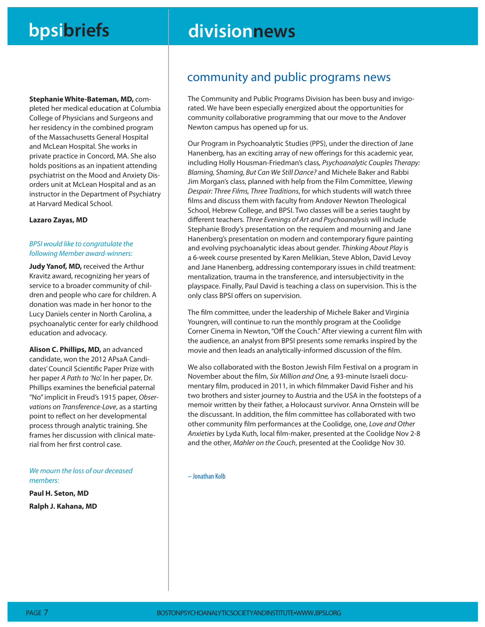# **bpsibriefs divisionnews**

**Stephanie White-Bateman, MD,** com-

pleted her medical education at Columbia College of Physicians and Surgeons and her residency in the combined program of the Massachusetts General Hospital and McLean Hospital. She works in private practice in Concord, MA. She also holds positions as an inpatient attending psychiatrist on the Mood and Anxiety Disorders unit at McLean Hospital and as an instructor in the Department of Psychiatry at Harvard Medical School.

#### **Lazaro Zayas, MD**

#### BPSI would like to congratulate the following Member award-winners:

**Judy Yanof, MD,** received the Arthur Kravitz award, recognizing her years of service to a broader community of children and people who care for children. A donation was made in her honor to the Lucy Daniels center in North Carolina, a psychoanalytic center for early childhood education and advocacy.

**Alison C. Phillips, MD,** an advanced candidate, won the 2012 APsaA Candidates' Council Scientific Paper Prize with her paper A Path to 'No'. In her paper, Dr. Phillips examines the beneficial paternal "No" implicit in Freud's 1915 paper, Observations on Transference-Love, as a starting point to reflect on her developmental process through analytic training. She frames her discussion with clinical material from her first control case.

#### We mourn the loss of our deceased members:

**Paul H. Seton, MD Ralph J. Kahana, MD**

### community and public programs news

The Community and Public Programs Division has been busy and invigorated. We have been especially energized about the opportunities for community collaborative programming that our move to the Andover Newton campus has opened up for us.

Our Program in Psychoanalytic Studies (PPS), under the direction of Jane Hanenberg, has an exciting array of new offerings for this academic year, including Holly Housman-Friedman's class, Psychoanalytic Couples Therapy: Blaming, Shaming, But Can We Still Dance? and Michele Baker and Rabbi Jim Morgan's class, planned with help from the Film Committee, Viewing Despair: Three Films, Three Traditions, for which students will watch three films and discuss them with faculty from Andover Newton Theological School, Hebrew College, and BPSI. Two classes will be a series taught by different teachers. Three Evenings of Art and Psychoanalysis will include Stephanie Brody's presentation on the requiem and mourning and Jane Hanenberg's presentation on modern and contemporary figure painting and evolving psychoanalytic ideas about gender. Thinking About Play is a 6-week course presented by Karen Melikian, Steve Ablon, David Levoy and Jane Hanenberg, addressing contemporary issues in child treatment: mentalization, trauma in the transference, and intersubjectivity in the playspace. Finally, Paul David is teaching a class on supervision. This is the only class BPSI offers on supervision.

The film committee, under the leadership of Michele Baker and Virginia Youngren, will continue to run the monthly program at the Coolidge Corner Cinema in Newton, "Off the Couch." After viewing a current film with the audience, an analyst from BPSI presents some remarks inspired by the movie and then leads an analytically-informed discussion of the film.

We also collaborated with the Boston Jewish Film Festival on a program in November about the film, Six Million and One, a 93-minute Israeli documentary film, produced in 2011, in which filmmaker David Fisher and his two brothers and sister journey to Austria and the USA in the footsteps of a memoir written by their father, a Holocaust survivor. Anna Ornstein will be the discussant. In addition, the film committee has collaborated with two other community film performances at the Coolidge, one, Love and Other Anxieties by Lyda Kuth, local film-maker, presented at the Coolidge Nov 2-8 and the other, Mahler on the Couch, presented at the Coolidge Nov 30.

– Jonathan Kolb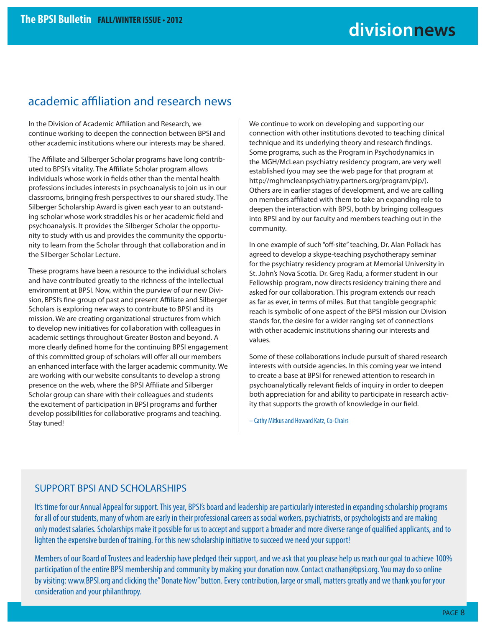### academic affiliation and research news

In the Division of Academic Affiliation and Research, we continue working to deepen the connection between BPSI and other academic institutions where our interests may be shared.

The Affiliate and Silberger Scholar programs have long contributed to BPSI's vitality. The Affiliate Scholar program allows individuals whose work in fields other than the mental health professions includes interests in psychoanalysis to join us in our classrooms, bringing fresh perspectives to our shared study. The Silberger Scholarship Award is given each year to an outstanding scholar whose work straddles his or her academic field and psychoanalysis. It provides the Silberger Scholar the opportunity to study with us and provides the community the opportunity to learn from the Scholar through that collaboration and in the Silberger Scholar Lecture.

These programs have been a resource to the individual scholars and have contributed greatly to the richness of the intellectual environment at BPSI. Now, within the purview of our new Division, BPSI's fine group of past and present Affiliate and Silberger Scholars is exploring new ways to contribute to BPSI and its mission. We are creating organizational structures from which to develop new initiatives for collaboration with colleagues in academic settings throughout Greater Boston and beyond. A more clearly defined home for the continuing BPSI engagement of this committed group of scholars will offer all our members an enhanced interface with the larger academic community. We are working with our website consultants to develop a strong presence on the web, where the BPSI Affiliate and Silberger Scholar group can share with their colleagues and students the excitement of participation in BPSI programs and further develop possibilities for collaborative programs and teaching. Stay tuned!

We continue to work on developing and supporting our connection with other institutions devoted to teaching clinical technique and its underlying theory and research findings. Some programs, such as the Program in Psychodynamics in the MGH/McLean psychiatry residency program, are very well established (you may see the web page for that program at http://mghmcleanpsychiatry.partners.org/program/pip/). Others are in earlier stages of development, and we are calling on members affiliated with them to take an expanding role to deepen the interaction with BPSI, both by bringing colleagues into BPSI and by our faculty and members teaching out in the community.

In one example of such "off-site" teaching, Dr. Alan Pollack has agreed to develop a skype-teaching psychotherapy seminar for the psychiatry residency program at Memorial University in St. John's Nova Scotia. Dr. Greg Radu, a former student in our Fellowship program, now directs residency training there and asked for our collaboration. This program extends our reach as far as ever, in terms of miles. But that tangible geographic reach is symbolic of one aspect of the BPSI mission our Division stands for, the desire for a wider ranging set of connections with other academic institutions sharing our interests and values.

Some of these collaborations include pursuit of shared research interests with outside agencies. In this coming year we intend to create a base at BPSI for renewed attention to research in psychoanalytically relevant fields of inquiry in order to deepen both appreciation for and ability to participate in research activity that supports the growth of knowledge in our field.

– Cathy Mitkus and Howard Katz, Co-Chairs

### SUPPORT BPSI AND SCHOLARSHIPS

It's time for our Annual Appeal for support. This year, BPSI's board and leadership are particularly interested in expanding scholarship programs for all of our students, many of whom are early in their professional careers as social workers, psychiatrists, or psychologists and are making only modest salaries. Scholarships make it possible for us to accept and support a broader and more diverse range of qualified applicants, and to lighten the expensive burden of training. For this new scholarship initiative to succeed we need your support!

Members of our Board of Trustees and leadership have pledged their support, and we ask that you please help us reach our goal to achieve 100% participation of the entire BPSI membership and community by making your donation now. Contact cnathan@bpsi.org. You may do so online by visiting: www.BPSI.org and clicking the" Donate Now" button. Every contribution, large or small, matters greatly and we thank you for your consideration and your philanthropy.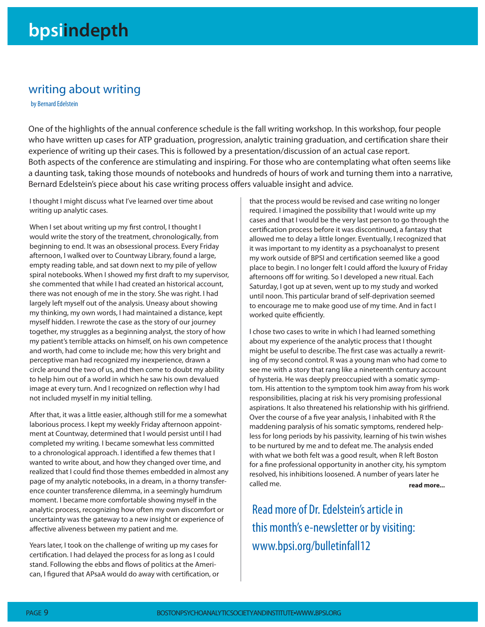### writing about writing

by Bernard Edelstein

One of the highlights of the annual conference schedule is the fall writing workshop. In this workshop, four people who have written up cases for ATP graduation, progression, analytic training graduation, and certification share their experience of writing up their cases. This is followed by a presentation/discussion of an actual case report. Both aspects of the conference are stimulating and inspiring. For those who are contemplating what often seems like a daunting task, taking those mounds of notebooks and hundreds of hours of work and turning them into a narrative, Bernard Edelstein's piece about his case writing process offers valuable insight and advice.

I thought I might discuss what I've learned over time about writing up analytic cases.

When I set about writing up my first control, I thought I would write the story of the treatment, chronologically, from beginning to end. It was an obsessional process. Every Friday afternoon, I walked over to Countway Library, found a large, empty reading table, and sat down next to my pile of yellow spiral notebooks. When I showed my first draft to my supervisor, she commented that while I had created an historical account, there was not enough of me in the story. She was right. I had largely left myself out of the analysis. Uneasy about showing my thinking, my own words, I had maintained a distance, kept myself hidden. I rewrote the case as the story of our journey together, my struggles as a beginning analyst, the story of how my patient's terrible attacks on himself, on his own competence and worth, had come to include me; how this very bright and perceptive man had recognized my inexperience, drawn a circle around the two of us, and then come to doubt my ability to help him out of a world in which he saw his own devalued image at every turn. And I recognized on reflection why I had not included myself in my initial telling.

After that, it was a little easier, although still for me a somewhat laborious process. I kept my weekly Friday afternoon appointment at Countway, determined that I would persist until I had completed my writing. I became somewhat less committed to a chronological approach. I identified a few themes that I wanted to write about, and how they changed over time, and realized that I could find those themes embedded in almost any page of my analytic notebooks, in a dream, in a thorny transference counter transference dilemma, in a seemingly humdrum moment. I became more comfortable showing myself in the analytic process, recognizing how often my own discomfort or uncertainty was the gateway to a new insight or experience of affective aliveness between my patient and me.

Years later, I took on the challenge of writing up my cases for certification. I had delayed the process for as long as I could stand. Following the ebbs and flows of politics at the American, I figured that APsaA would do away with certification, or that the process would be revised and case writing no longer required. I imagined the possibility that I would write up my cases and that I would be the very last person to go through the certification process before it was discontinued, a fantasy that allowed me to delay a little longer. Eventually, I recognized that it was important to my identity as a psychoanalyst to present my work outside of BPSI and certification seemed like a good place to begin. I no longer felt I could afford the luxury of Friday afternoons off for writing. So I developed a new ritual. Each Saturday, I got up at seven, went up to my study and worked until noon. This particular brand of self-deprivation seemed to encourage me to make good use of my time. And in fact I worked quite efficiently.

I chose two cases to write in which I had learned something about my experience of the analytic process that I thought might be useful to describe. The first case was actually a rewriting of my second control. R was a young man who had come to see me with a story that rang like a nineteenth century account of hysteria. He was deeply preoccupied with a somatic symptom. His attention to the symptom took him away from his work responsibilities, placing at risk his very promising professional aspirations. It also threatened his relationship with his girlfriend. Over the course of a five year analysis, I inhabited with R the maddening paralysis of his somatic symptoms, rendered helpless for long periods by his passivity, learning of his twin wishes to be nurtured by me and to defeat me. The analysis ended with what we both felt was a good result, when R left Boston for a fine professional opportunity in another city, his symptom resolved, his inhibitions loosened. A number of years later he called me. **read more...**

Read more of Dr. Edelstein's article in this month's e-newsletter or by visiting: www.bpsi.org/bulletinfall12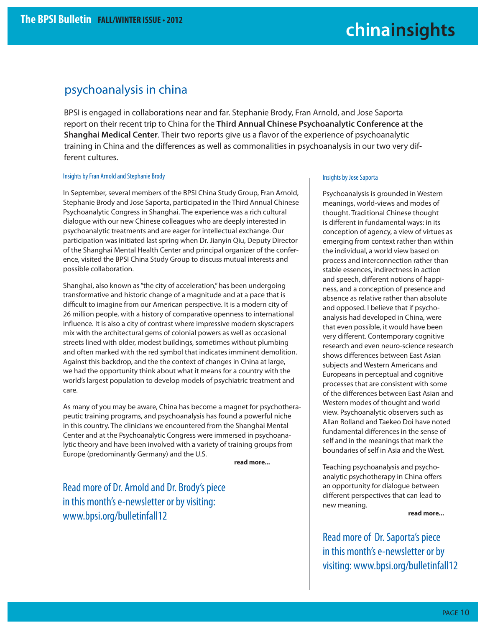### psychoanalysis in china

BPSI is engaged in collaborations near and far. Stephanie Brody, Fran Arnold, and Jose Saporta report on their recent trip to China for the **Third Annual Chinese Psychoanalytic Conference at the Shanghai Medical Center.** Their two reports give us a flavor of the experience of psychoanalytic training in China and the differences as well as commonalities in psychoanalysis in our two very different cultures.

#### Insights by Fran Arnold and Stephanie Brody

In September, several members of the BPSI China Study Group, Fran Arnold, Stephanie Brody and Jose Saporta, participated in the Third Annual Chinese Psychoanalytic Congress in Shanghai. The experience was a rich cultural dialogue with our new Chinese colleagues who are deeply interested in psychoanalytic treatments and are eager for intellectual exchange. Our participation was initiated last spring when Dr. Jianyin Qiu, Deputy Director of the Shanghai Mental Health Center and principal organizer of the conference, visited the BPSI China Study Group to discuss mutual interests and possible collaboration.

Shanghai, also known as "the city of acceleration," has been undergoing transformative and historic change of a magnitude and at a pace that is difficult to imagine from our American perspective. It is a modern city of 26 million people, with a history of comparative openness to international influence. It is also a city of contrast where impressive modern skyscrapers mix with the architectural gems of colonial powers as well as occasional streets lined with older, modest buildings, sometimes without plumbing and often marked with the red symbol that indicates imminent demolition. Against this backdrop, and the the context of changes in China at large, we had the opportunity think about what it means for a country with the world's largest population to develop models of psychiatric treatment and care.

As many of you may be aware, China has become a magnet for psychotherapeutic training programs, and psychoanalysis has found a powerful niche in this country. The clinicians we encountered from the Shanghai Mental Center and at the Psychoanalytic Congress were immersed in psychoanalytic theory and have been involved with a variety of training groups from Europe (predominantly Germany) and the U.S.

**read more...**

Read more of Dr. Arnold and Dr. Brody's piece in this month's e-newsletter or by visiting: www.bpsi.org/bulletinfall12

#### Insights by Jose Saporta

Psychoanalysis is grounded in Western meanings, world-views and modes of thought. Traditional Chinese thought is different in fundamental ways: in its conception of agency, a view of virtues as emerging from context rather than within the individual, a world view based on process and interconnection rather than stable essences, indirectness in action and speech, different notions of happiness, and a conception of presence and absence as relative rather than absolute and opposed. I believe that if psychoanalysis had developed in China, were that even possible, it would have been very different. Contemporary cognitive research and even neuro-science research shows differences between East Asian subjects and Western Americans and Europeans in perceptual and cognitive processes that are consistent with some of the differences between East Asian and Western modes of thought and world view. Psychoanalytic observers such as Allan Rolland and Taekeo Doi have noted fundamental differences in the sense of self and in the meanings that mark the boundaries of self in Asia and the West.

Teaching psychoanalysis and psychoanalytic psychotherapy in China offers an opportunity for dialogue between different perspectives that can lead to new meaning.

**read more...**

Read more of Dr. Saporta's piece in this month's e-newsletter or by visiting: www.bpsi.org/bulletinfall12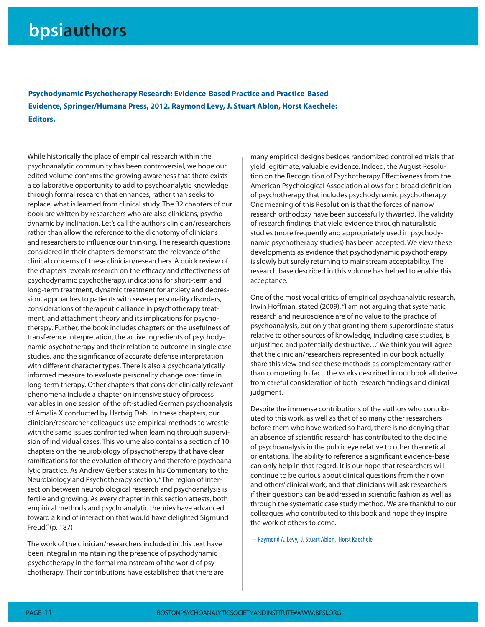# **bpsiauthors**

**Psychodynamic Psychotherapy Research: Evidence-Based Practice and Practice-Based Evidence, Springer/Humana Press, 2012. Raymond Levy, J. Stuart Ablon, Horst Kaechele: Editors.**

While historically the place of empirical research within the psychoanalytic community has been controversial, we hope our edited volume confirms the growing awareness that there exists a collaborative opportunity to add to psychoanalytic knowledge through formal research that enhances, rather than seeks to replace, what is learned from clinical study. The 32 chapters of our book are written by researchers who are also clinicians, psychodynamic by inclination. Let's call the authors clinician/researchers rather than allow the reference to the dichotomy of clinicians and researchers to influence our thinking. The research questions considered in their chapters demonstrate the relevance of the clinical concerns of these clinician/researchers. A quick review of the chapters reveals research on the efficacy and effectiveness of psychodynamic psychotherapy, indications for short-term and long-term treatment, dynamic treatment for anxiety and depression, approaches to patients with severe personality disorders, considerations of therapeutic alliance in psychotherapy treatment, and attachment theory and its implications for psychotherapy. Further, the book includes chapters on the usefulness of transference interpretation, the active ingredients of psychodynamic psychotherapy and their relation to outcome in single case studies, and the significance of accurate defense interpretation with different character types. There is also a psychoanalytically informed measure to evaluate personality change over time in long-term therapy. Other chapters that consider clinically relevant phenomena include a chapter on intensive study of process variables in one session of the oft-studied German psychoanalysis of Amalia X conducted by Hartvig Dahl. In these chapters, our clinician/researcher colleagues use empirical methods to wrestle with the same issues confronted when learning through supervision of individual cases. This volume also contains a section of 10 chapters on the neurobiology of psychotherapy that have clear ramifications for the evolution of theory and therefore psychoanalytic practice. As Andrew Gerber states in his Commentary to the Neurobiology and Psychotherapy section, "The region of intersection between neurobiological research and psychoanalysis is fertile and growing. As every chapter in this section attests, both empirical methods and psychoanalytic theories have advanced toward a kind of interaction that would have delighted Sigmund Freud." (p. 187)

The work of the clinician/researchers included in this text have been integral in maintaining the presence of psychodynamic psychotherapy in the formal mainstream of the world of psychotherapy. Their contributions have established that there are many empirical designs besides randomized controlled trials that yield legitimate, valuable evidence. Indeed, the August Resolution on the Recognition of Psychotherapy Effectiveness from the American Psychological Association allows for a broad definition of psychotherapy that includes psychodynamic psychotherapy. One meaning of this Resolution is that the forces of narrow research orthodoxy have been successfully thwarted. The validity of research findings that yield evidence through naturalistic studies (more frequently and appropriately used in psychodynamic psychotherapy studies) has been accepted. We view these developments as evidence that psychodynamic psychotherapy is slowly but surely returning to mainstream acceptability. The research base described in this volume has helped to enable this acceptance.

One of the most vocal critics of empirical psychoanalytic research, Irwin Hoffman, stated (2009), "I am not arguing that systematic research and neuroscience are of no value to the practice of psychoanalysis, but only that granting them superordinate status relative to other sources of knowledge, including case studies, is unjustified and potentially destructive..." We think you will agree that the clinician/researchers represented in our book actually share this view and see these methods as complementary rather than competing. In fact, the works described in our book all derive from careful consideration of both research findings and clinical judgment.

Despite the immense contributions of the authors who contributed to this work, as well as that of so many other researchers before them who have worked so hard, there is no denying that an absence of scientific research has contributed to the decline of psychoanalysis in the public eye relative to other theoretical orientations. The ability to reference a significant evidence-base can only help in that regard. It is our hope that researchers will continue to be curious about clinical questions from their own and others' clinical work, and that clinicians will ask researchers if their questions can be addressed in scientific fashion as well as through the systematic case study method. We are thankful to our colleagues who contributed to this book and hope they inspire the work of others to come.

– Raymond A. Levy, J. Stuart Ablon, Horst Kaechele